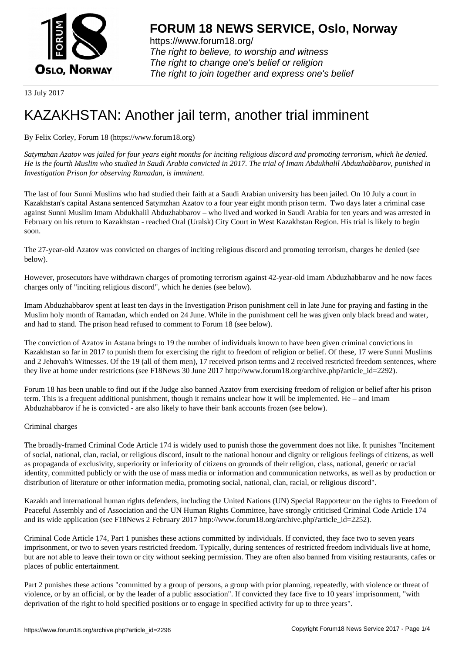

https://www.forum18.org/ The right to believe, to worship and witness The right to change one's belief or religion [The right to join together a](https://www.forum18.org/)nd express one's belief

13 July 2017

## [KAZAKHSTAN:](https://www.forum18.org) Another jail term, another trial imminent

By Felix Corley, Forum 18 (https://www.forum18.org)

*Satymzhan Azatov was jailed for four years eight months for inciting religious discord and promoting terrorism, which he denied. He is the fourth Muslim who studied in Saudi Arabia convicted in 2017. The trial of Imam Abdukhalil Abduzhabbarov, punished in Investigation Prison for observing Ramadan, is imminent.*

The last of four Sunni Muslims who had studied their faith at a Saudi Arabian university has been jailed. On 10 July a court in Kazakhstan's capital Astana sentenced Satymzhan Azatov to a four year eight month prison term. Two days later a criminal case against Sunni Muslim Imam Abdukhalil Abduzhabbarov – who lived and worked in Saudi Arabia for ten years and was arrested in February on his return to Kazakhstan - reached Oral (Uralsk) City Court in West Kazakhstan Region. His trial is likely to begin soon.

The 27-year-old Azatov was convicted on charges of inciting religious discord and promoting terrorism, charges he denied (see below).

However, prosecutors have withdrawn charges of promoting terrorism against 42-year-old Imam Abduzhabbarov and he now faces charges only of "inciting religious discord", which he denies (see below).

Imam Abduzhabbarov spent at least ten days in the Investigation Prison punishment cell in late June for praying and fasting in the Muslim holy month of Ramadan, which ended on 24 June. While in the punishment cell he was given only black bread and water, and had to stand. The prison head refused to comment to Forum 18 (see below).

The conviction of Azatov in Astana brings to 19 the number of individuals known to have been given criminal convictions in Kazakhstan so far in 2017 to punish them for exercising the right to freedom of religion or belief. Of these, 17 were Sunni Muslims and 2 Jehovah's Witnesses. Of the 19 (all of them men), 17 received prison terms and 2 received restricted freedom sentences, where they live at home under restrictions (see F18News 30 June 2017 http://www.forum18.org/archive.php?article\_id=2292).

Forum 18 has been unable to find out if the Judge also banned Azatov from exercising freedom of religion or belief after his prison term. This is a frequent additional punishment, though it remains unclear how it will be implemented. He – and Imam Abduzhabbarov if he is convicted - are also likely to have their bank accounts frozen (see below).

## Criminal charges

The broadly-framed Criminal Code Article 174 is widely used to punish those the government does not like. It punishes "Incitement of social, national, clan, racial, or religious discord, insult to the national honour and dignity or religious feelings of citizens, as well as propaganda of exclusivity, superiority or inferiority of citizens on grounds of their religion, class, national, generic or racial identity, committed publicly or with the use of mass media or information and communication networks, as well as by production or distribution of literature or other information media, promoting social, national, clan, racial, or religious discord".

Kazakh and international human rights defenders, including the United Nations (UN) Special Rapporteur on the rights to Freedom of Peaceful Assembly and of Association and the UN Human Rights Committee, have strongly criticised Criminal Code Article 174 and its wide application (see F18News 2 February 2017 http://www.forum18.org/archive.php?article\_id=2252).

Criminal Code Article 174, Part 1 punishes these actions committed by individuals. If convicted, they face two to seven years imprisonment, or two to seven years restricted freedom. Typically, during sentences of restricted freedom individuals live at home, but are not able to leave their town or city without seeking permission. They are often also banned from visiting restaurants, cafes or places of public entertainment.

Part 2 punishes these actions "committed by a group of persons, a group with prior planning, repeatedly, with violence or threat of violence, or by an official, or by the leader of a public association". If convicted they face five to 10 years' imprisonment, "with deprivation of the right to hold specified positions or to engage in specified activity for up to three years".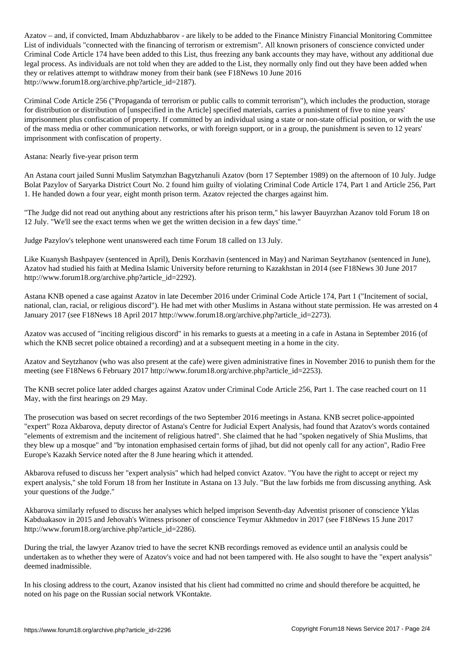Azatov – and, if convicted, Imam Abduzhabbarov - are likely to be added to the Finance Ministry Financial Monitoring Committee List of individuals "connected with the financing of terrorism or extremism". All known prisoners of conscience convicted under Criminal Code Article 174 have been added to this List, thus freezing any bank accounts they may have, without any additional due legal process. As individuals are not told when they are added to the List, they normally only find out they have been added when they or relatives attempt to withdraw money from their bank (see F18News 10 June 2016 http://www.forum18.org/archive.php?article\_id=2187).

Criminal Code Article 256 ("Propaganda of terrorism or public calls to commit terrorism"), which includes the production, storage for distribution or distribution of [unspecified in the Article] specified materials, carries a punishment of five to nine years' imprisonment plus confiscation of property. If committed by an individual using a state or non-state official position, or with the use of the mass media or other communication networks, or with foreign support, or in a group, the punishment is seven to 12 years' imprisonment with confiscation of property.

Astana: Nearly five-year prison term

An Astana court jailed Sunni Muslim Satymzhan Bagytzhanuli Azatov (born 17 September 1989) on the afternoon of 10 July. Judge Bolat Pazylov of Saryarka District Court No. 2 found him guilty of violating Criminal Code Article 174, Part 1 and Article 256, Part 1. He handed down a four year, eight month prison term. Azatov rejected the charges against him.

"The Judge did not read out anything about any restrictions after his prison term," his lawyer Bauyrzhan Azanov told Forum 18 on 12 July. "We'll see the exact terms when we get the written decision in a few days' time."

Judge Pazylov's telephone went unanswered each time Forum 18 called on 13 July.

Like Kuanysh Bashpayev (sentenced in April), Denis Korzhavin (sentenced in May) and Nariman Seytzhanov (sentenced in June), Azatov had studied his faith at Medina Islamic University before returning to Kazakhstan in 2014 (see F18News 30 June 2017 http://www.forum18.org/archive.php?article\_id=2292).

Astana KNB opened a case against Azatov in late December 2016 under Criminal Code Article 174, Part 1 ("Incitement of social, national, clan, racial, or religious discord"). He had met with other Muslims in Astana without state permission. He was arrested on 4 January 2017 (see F18News 18 April 2017 http://www.forum18.org/archive.php?article\_id=2273).

Azatov was accused of "inciting religious discord" in his remarks to guests at a meeting in a cafe in Astana in September 2016 (of which the KNB secret police obtained a recording) and at a subsequent meeting in a home in the city.

Azatov and Seytzhanov (who was also present at the cafe) were given administrative fines in November 2016 to punish them for the meeting (see F18News 6 February 2017 http://www.forum18.org/archive.php?article\_id=2253).

The KNB secret police later added charges against Azatov under Criminal Code Article 256, Part 1. The case reached court on 11 May, with the first hearings on 29 May.

The prosecution was based on secret recordings of the two September 2016 meetings in Astana. KNB secret police-appointed "expert" Roza Akbarova, deputy director of Astana's Centre for Judicial Expert Analysis, had found that Azatov's words contained "elements of extremism and the incitement of religious hatred". She claimed that he had "spoken negatively of Shia Muslims, that they blew up a mosque" and "by intonation emphasised certain forms of jihad, but did not openly call for any action", Radio Free Europe's Kazakh Service noted after the 8 June hearing which it attended.

Akbarova refused to discuss her "expert analysis" which had helped convict Azatov. "You have the right to accept or reject my expert analysis," she told Forum 18 from her Institute in Astana on 13 July. "But the law forbids me from discussing anything. Ask your questions of the Judge."

Akbarova similarly refused to discuss her analyses which helped imprison Seventh-day Adventist prisoner of conscience Yklas Kabduakasov in 2015 and Jehovah's Witness prisoner of conscience Teymur Akhmedov in 2017 (see F18News 15 June 2017 http://www.forum18.org/archive.php?article\_id=2286).

During the trial, the lawyer Azanov tried to have the secret KNB recordings removed as evidence until an analysis could be undertaken as to whether they were of Azatov's voice and had not been tampered with. He also sought to have the "expert analysis" deemed inadmissible.

In his closing address to the court, Azanov insisted that his client had committed no crime and should therefore be acquitted, he noted on his page on the Russian social network VKontakte.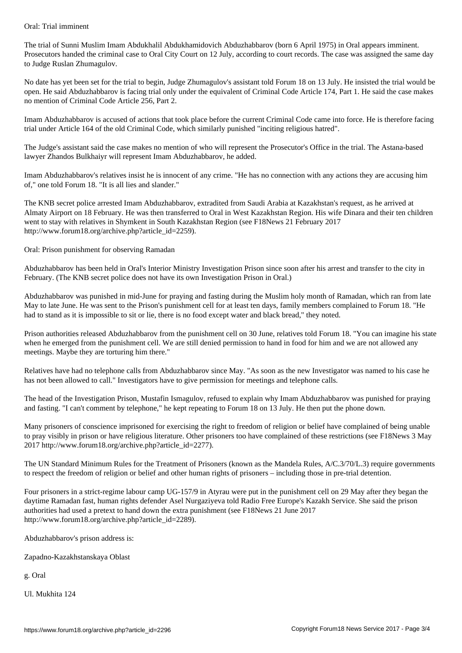The trial of Sunni Muslim Imam Abdukhalil Abdukhamidovich Abduzhabbarov (born 6 April 1975) in Oral appears imminent. Prosecutors handed the criminal case to Oral City Court on 12 July, according to court records. The case was assigned the same day to Judge Ruslan Zhumagulov.

No date has yet been set for the trial to begin, Judge Zhumagulov's assistant told Forum 18 on 13 July. He insisted the trial would be open. He said Abduzhabbarov is facing trial only under the equivalent of Criminal Code Article 174, Part 1. He said the case makes no mention of Criminal Code Article 256, Part 2.

Imam Abduzhabbarov is accused of actions that took place before the current Criminal Code came into force. He is therefore facing trial under Article 164 of the old Criminal Code, which similarly punished "inciting religious hatred".

The Judge's assistant said the case makes no mention of who will represent the Prosecutor's Office in the trial. The Astana-based lawyer Zhandos Bulkhaiyr will represent Imam Abduzhabbarov, he added.

Imam Abduzhabbarov's relatives insist he is innocent of any crime. "He has no connection with any actions they are accusing him of," one told Forum 18. "It is all lies and slander."

The KNB secret police arrested Imam Abduzhabbarov, extradited from Saudi Arabia at Kazakhstan's request, as he arrived at Almaty Airport on 18 February. He was then transferred to Oral in West Kazakhstan Region. His wife Dinara and their ten children went to stay with relatives in Shymkent in South Kazakhstan Region (see F18News 21 February 2017 http://www.forum18.org/archive.php?article\_id=2259).

Oral: Prison punishment for observing Ramadan

Abduzhabbarov has been held in Oral's Interior Ministry Investigation Prison since soon after his arrest and transfer to the city in February. (The KNB secret police does not have its own Investigation Prison in Oral.)

Abduzhabbarov was punished in mid-June for praying and fasting during the Muslim holy month of Ramadan, which ran from late May to late June. He was sent to the Prison's punishment cell for at least ten days, family members complained to Forum 18. "He had to stand as it is impossible to sit or lie, there is no food except water and black bread," they noted.

Prison authorities released Abduzhabbarov from the punishment cell on 30 June, relatives told Forum 18. "You can imagine his state when he emerged from the punishment cell. We are still denied permission to hand in food for him and we are not allowed any meetings. Maybe they are torturing him there."

Relatives have had no telephone calls from Abduzhabbarov since May. "As soon as the new Investigator was named to his case he has not been allowed to call." Investigators have to give permission for meetings and telephone calls.

The head of the Investigation Prison, Mustafin Ismagulov, refused to explain why Imam Abduzhabbarov was punished for praying and fasting. "I can't comment by telephone," he kept repeating to Forum 18 on 13 July. He then put the phone down.

Many prisoners of conscience imprisoned for exercising the right to freedom of religion or belief have complained of being unable to pray visibly in prison or have religious literature. Other prisoners too have complained of these restrictions (see F18News 3 May 2017 http://www.forum18.org/archive.php?article\_id=2277).

The UN Standard Minimum Rules for the Treatment of Prisoners (known as the Mandela Rules, A/C.3/70/L.3) require governments to respect the freedom of religion or belief and other human rights of prisoners – including those in pre-trial detention.

Four prisoners in a strict-regime labour camp UG-157/9 in Atyrau were put in the punishment cell on 29 May after they began the daytime Ramadan fast, human rights defender Asel Nurgaziyeva told Radio Free Europe's Kazakh Service. She said the prison authorities had used a pretext to hand down the extra punishment (see F18News 21 June 2017 http://www.forum18.org/archive.php?article\_id=2289).

Abduzhabbarov's prison address is:

Zapadno-Kazakhstanskaya Oblast

g. Oral

Ul. Mukhita 124